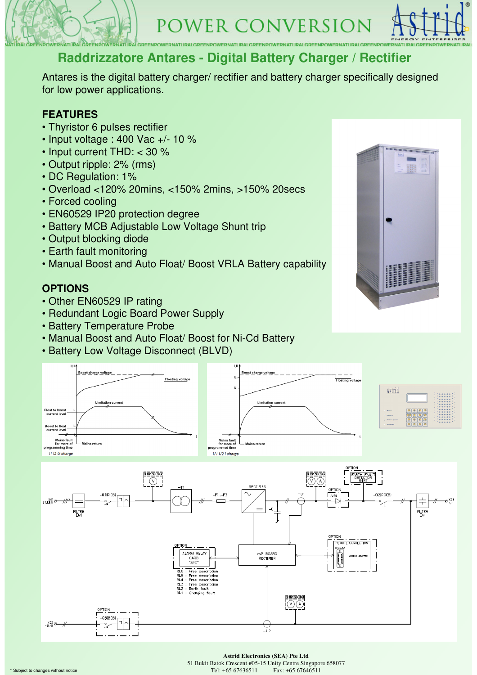



### **Raddrizzatore Antares - Digital Battery Charger / Rectifier**

Antares is the digital battery charger/ rectifier and battery charger specifically designed for low power applications.

### **FEATURES**

- Thyristor 6 pulses rectifier
- Input voltage : 400 Vac +/- 10 %
- Input current THD: < 30 %
- Output ripple: 2% (rms)
- DC Regulation: 1%
- Overload <120% 20mins, <150% 2mins, >150% 20secs
- Forced cooling
- EN60529 IP20 protection degree
- Battery MCB Adjustable Low Voltage Shunt trip
- Output blocking diode
- Earth fault monitoring
- Manual Boost and Auto Float/ Boost VRLA Battery capability

### **OPTIONS**

Float to boos

st to float<br>rrent level

Mains fault<br>for more of<br>mming time 11 12 U charge

• Other EN60529 IP rating

Boost charge voltage

- Redundant Logic Board Power Supply
- Battery Temperature Probe

Limitation curren

- Manual Boost and Auto Float/ Boost for Ni-Cd Battery
- Battery Low Voltage Disconnect (BLVD)







#### **Astrid Electronics (SEA) Pte Ltd**

51 Bukit Batok Crescent #05-15 Unity Centre Singapore 658077

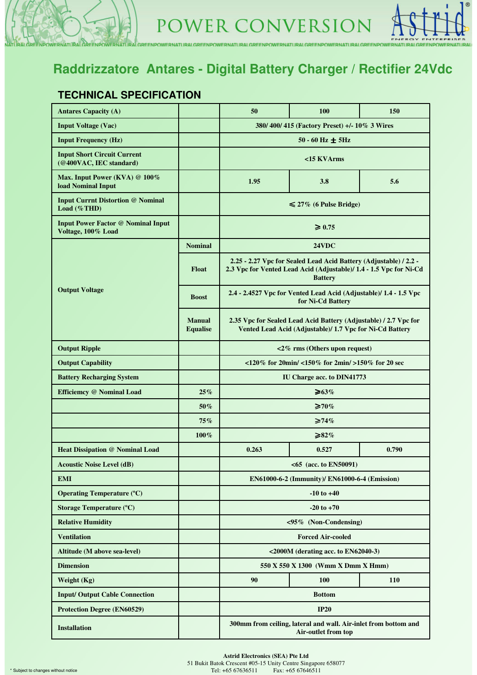## **Raddrizzatore Antares - Digital Battery Charger / Rectifier 24Vdc**

VERNATURALGREENPOWERNATURALGREENPOWERNATURALGREENPOWERNATURALGREENPOWERNATURALGREENPOWERNATURALGRE

### **TECHNICAL SPECIFICATION**

**DEEMBO** 

| <b>Antares Capacity (A)</b>                                     |                                  | 50                                                                                                                                                        | 100                    | 150 |  |  |  |  |
|-----------------------------------------------------------------|----------------------------------|-----------------------------------------------------------------------------------------------------------------------------------------------------------|------------------------|-----|--|--|--|--|
| <b>Input Voltage (Vac)</b>                                      |                                  | 380/ 400/ 415 (Factory Preset) +/- 10% 3 Wires                                                                                                            |                        |     |  |  |  |  |
| <b>Input Frequency (Hz)</b>                                     |                                  |                                                                                                                                                           | $50 - 60$ Hz $\pm$ 5Hz |     |  |  |  |  |
| <b>Input Short Circuit Current</b><br>(@400VAC, IEC standard)   |                                  | <15 KVArms                                                                                                                                                |                        |     |  |  |  |  |
| Max. Input Power (KVA) @ 100%<br><b>load Nominal Input</b>      |                                  | 1.95<br>3.8<br>5.6                                                                                                                                        |                        |     |  |  |  |  |
| <b>Input Currnt Distortion @ Nominal</b><br>Load (%THD)         |                                  | $\leq 27\%$ (6 Pulse Bridge)                                                                                                                              |                        |     |  |  |  |  |
| <b>Input Power Factor @ Nominal Input</b><br>Voltage, 100% Load |                                  | $\geq 0.75$                                                                                                                                               |                        |     |  |  |  |  |
|                                                                 | <b>Nominal</b>                   | 24VDC                                                                                                                                                     |                        |     |  |  |  |  |
| <b>Output Voltage</b>                                           | <b>Float</b>                     | 2.25 - 2.27 Vpc for Sealed Lead Acid Battery (Adjustable) / 2.2 -<br>2.3 Vpc for Vented Lead Acid (Adjustable)/ 1.4 - 1.5 Vpc for Ni-Cd<br><b>Battery</b> |                        |     |  |  |  |  |
|                                                                 | <b>Boost</b>                     | 2.4 - 2.4527 Vpc for Vented Lead Acid (Adjustable)/ 1.4 - 1.5 Vpc<br>for Ni-Cd Battery                                                                    |                        |     |  |  |  |  |
|                                                                 | <b>Manual</b><br><b>Equalise</b> | 2.35 Vpc for Sealed Lead Acid Battery (Adjustable) / 2.7 Vpc for<br>Vented Lead Acid (Adjustable)/ 1.7 Vpc for Ni-Cd Battery                              |                        |     |  |  |  |  |
| <b>Output Ripple</b>                                            |                                  | $\langle 2\%$ rms (Others upon request)                                                                                                                   |                        |     |  |  |  |  |
| <b>Output Capability</b>                                        |                                  | $120\%$ for 20min/ $150\%$ for 2min/ $150\%$ for 20 sec                                                                                                   |                        |     |  |  |  |  |
| <b>Battery Recharging System</b>                                |                                  | <b>IU Charge acc. to DIN41773</b>                                                                                                                         |                        |     |  |  |  |  |
| Efficiemcy @ Nominal Load                                       | 25%                              | $\geq 63\%$                                                                                                                                               |                        |     |  |  |  |  |
|                                                                 | 50%                              | ≥70%                                                                                                                                                      |                        |     |  |  |  |  |
|                                                                 | 75%                              | $\geq 74\%$                                                                                                                                               |                        |     |  |  |  |  |
|                                                                 | $100\%$                          | ≥ $82\%$                                                                                                                                                  |                        |     |  |  |  |  |
| <b>Heat Dissipation @ Nominal Load</b>                          |                                  | 0.263<br>0.527<br>0.790                                                                                                                                   |                        |     |  |  |  |  |
| <b>Acoustic Noise Level (dB)</b>                                |                                  | <65 (acc. to EN50091)                                                                                                                                     |                        |     |  |  |  |  |
| <b>EMI</b>                                                      |                                  | EN61000-6-2 (Immunity)/ EN61000-6-4 (Emission)                                                                                                            |                        |     |  |  |  |  |
| <b>Operating Temperature (°C)</b>                               |                                  | $-10$ to $+40$                                                                                                                                            |                        |     |  |  |  |  |
| <b>Storage Temperature (°C)</b>                                 |                                  | $-20$ to $+70$                                                                                                                                            |                        |     |  |  |  |  |
| <b>Relative Humidity</b>                                        |                                  | $\langle 95\% \rangle$ (Non-Condensing)                                                                                                                   |                        |     |  |  |  |  |
| <b>Ventilation</b>                                              |                                  | <b>Forced Air-cooled</b>                                                                                                                                  |                        |     |  |  |  |  |
| Altitude (M above sea-level)                                    |                                  | $\leq$ 2000M (derating acc. to EN62040-3)                                                                                                                 |                        |     |  |  |  |  |
| <b>Dimension</b>                                                |                                  | 550 X 550 X 1300 (Wmm X Dmm X Hmm)                                                                                                                        |                        |     |  |  |  |  |
| Weight (Kg)                                                     |                                  | 90                                                                                                                                                        | 100                    | 110 |  |  |  |  |
| <b>Input/Output Cable Connection</b>                            |                                  | <b>Bottom</b>                                                                                                                                             |                        |     |  |  |  |  |
| <b>Protection Degree (EN60529)</b>                              |                                  | <b>IP20</b>                                                                                                                                               |                        |     |  |  |  |  |
| <b>Installation</b>                                             |                                  | 300mm from ceiling, lateral and wall. Air-inlet from bottom and<br>Air-outlet from top                                                                    |                        |     |  |  |  |  |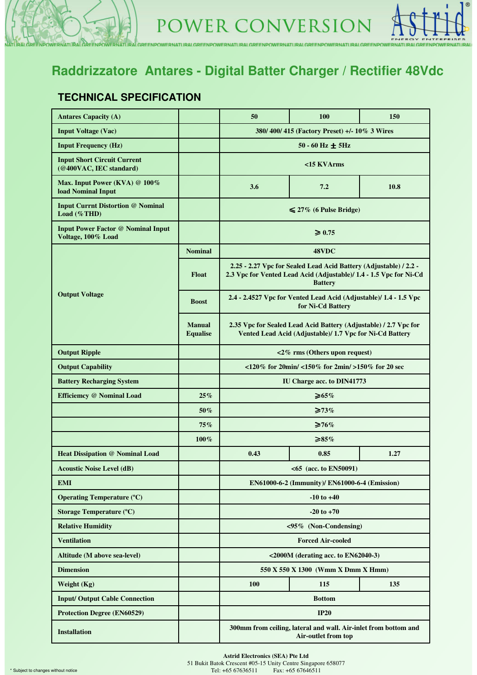

### **Raddrizzatore Antares - Digital Batter Charger / Rectifier 48Vdc**

VERNATURALGREENPOWERNATURALGREENPOWERNATURALGREENPOWERNATURALGREENPOWERNATURALGREENPOWERNATURALGREE

### **TECHNICAL SPECIFICATION**

**DEEMPO** 

| <b>Antares Capacity (A)</b>                                     |                                  | 50                                                                                                                                                        | 100 | 150 |  |  |  |
|-----------------------------------------------------------------|----------------------------------|-----------------------------------------------------------------------------------------------------------------------------------------------------------|-----|-----|--|--|--|
| <b>Input Voltage (Vac)</b>                                      |                                  | 380/400/415 (Factory Preset) +/-10% 3 Wires                                                                                                               |     |     |  |  |  |
| <b>Input Frequency (Hz)</b>                                     |                                  | $50 - 60$ Hz $\pm$ 5Hz                                                                                                                                    |     |     |  |  |  |
| <b>Input Short Circuit Current</b><br>(@400VAC, IEC standard)   |                                  | <15 KVArms                                                                                                                                                |     |     |  |  |  |
| Max. Input Power (KVA) @ 100%<br><b>load Nominal Input</b>      |                                  | 3.6<br>7.2<br>10.8                                                                                                                                        |     |     |  |  |  |
| <b>Input Currnt Distortion @ Nominal</b><br>Load (%THD)         |                                  | $\leq 27\%$ (6 Pulse Bridge)                                                                                                                              |     |     |  |  |  |
| <b>Input Power Factor @ Nominal Input</b><br>Voltage, 100% Load |                                  | $\geq 0.75$                                                                                                                                               |     |     |  |  |  |
|                                                                 | <b>Nominal</b>                   | 48VDC                                                                                                                                                     |     |     |  |  |  |
| <b>Output Voltage</b>                                           | <b>Float</b>                     | 2.25 - 2.27 Vpc for Sealed Lead Acid Battery (Adjustable) / 2.2 -<br>2.3 Vpc for Vented Lead Acid (Adjustable)/ 1.4 - 1.5 Vpc for Ni-Cd<br><b>Battery</b> |     |     |  |  |  |
|                                                                 | <b>Boost</b>                     | 2.4 - 2.4527 Vpc for Vented Lead Acid (Adjustable)/ 1.4 - 1.5 Vpc<br>for Ni-Cd Battery                                                                    |     |     |  |  |  |
|                                                                 | <b>Manual</b><br><b>Equalise</b> | 2.35 Vpc for Sealed Lead Acid Battery (Adjustable) / 2.7 Vpc for<br>Vented Lead Acid (Adjustable)/ 1.7 Vpc for Ni-Cd Battery                              |     |     |  |  |  |
| <b>Output Ripple</b>                                            |                                  | <2% rms (Others upon request)                                                                                                                             |     |     |  |  |  |
| <b>Output Capability</b>                                        |                                  | <120% for 20min/ <150% for 2min/ >150% for 20 sec                                                                                                         |     |     |  |  |  |
| <b>Battery Recharging System</b>                                |                                  | IU Charge acc. to DIN41773                                                                                                                                |     |     |  |  |  |
| Efficiemcy @ Nominal Load                                       | 25%                              | $\geq 65\%$                                                                                                                                               |     |     |  |  |  |
|                                                                 | 50%                              | $\geq 73\%$                                                                                                                                               |     |     |  |  |  |
|                                                                 | 75%                              | $\geq 76\%$                                                                                                                                               |     |     |  |  |  |
|                                                                 | 100%                             | $≥85\%$                                                                                                                                                   |     |     |  |  |  |
| <b>Heat Dissipation @ Nominal Load</b>                          |                                  | 0.43<br>0.85<br>1.27                                                                                                                                      |     |     |  |  |  |
| <b>Acoustic Noise Level (dB)</b>                                |                                  | <65 (acc. to EN50091)                                                                                                                                     |     |     |  |  |  |
| <b>EMI</b>                                                      |                                  | EN61000-6-2 (Immunity)/ EN61000-6-4 (Emission)                                                                                                            |     |     |  |  |  |
| <b>Operating Temperature (°C)</b>                               |                                  | $-10$ to $+40$                                                                                                                                            |     |     |  |  |  |
| Storage Temperature (°C)                                        |                                  | $-20$ to $+70$                                                                                                                                            |     |     |  |  |  |
| <b>Relative Humidity</b>                                        |                                  | <95% (Non-Condensing)                                                                                                                                     |     |     |  |  |  |
| <b>Ventilation</b>                                              |                                  | <b>Forced Air-cooled</b>                                                                                                                                  |     |     |  |  |  |
| Altitude (M above sea-level)                                    |                                  | $<$ 2000M (derating acc. to EN62040-3)                                                                                                                    |     |     |  |  |  |
| <b>Dimension</b>                                                |                                  | 550 X 550 X 1300 (Wmm X Dmm X Hmm)                                                                                                                        |     |     |  |  |  |
| Weight (Kg)                                                     |                                  | 100<br>115<br>135                                                                                                                                         |     |     |  |  |  |
| <b>Input/Output Cable Connection</b>                            |                                  | <b>Bottom</b>                                                                                                                                             |     |     |  |  |  |
| <b>Protection Degree (EN60529)</b>                              |                                  | IP20                                                                                                                                                      |     |     |  |  |  |
| <b>Installation</b>                                             |                                  | 300mm from ceiling, lateral and wall. Air-inlet from bottom and<br>Air-outlet from top                                                                    |     |     |  |  |  |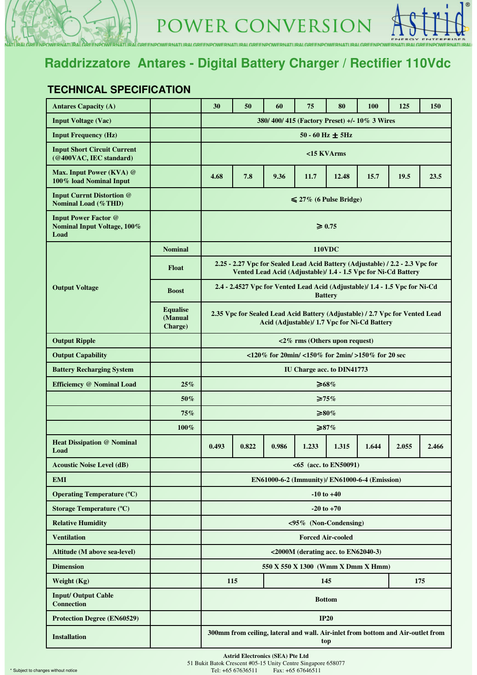

VERNATURALGREENPOWERNATURALGREENPOWERNATURALGREENPOWERNATURALGREENPOWERNATURALGREENPOWERNATURALGRE

#### **TECHNICAL SPECIFICATION**

DEENING

| <b>Antares Capacity (A)</b>                                        |                                       | 30                                                                                                                           | 50    | 60    | 75                                             | 80                       | 100   | 125                                                                                                                                             | 150   |  |  |
|--------------------------------------------------------------------|---------------------------------------|------------------------------------------------------------------------------------------------------------------------------|-------|-------|------------------------------------------------|--------------------------|-------|-------------------------------------------------------------------------------------------------------------------------------------------------|-------|--|--|
| <b>Input Voltage (Vac)</b>                                         |                                       | 380/400/415 (Factory Preset) +/-10% 3 Wires                                                                                  |       |       |                                                |                          |       |                                                                                                                                                 |       |  |  |
| <b>Input Frequency (Hz)</b>                                        |                                       | $50 - 60$ Hz $\pm$ 5Hz                                                                                                       |       |       |                                                |                          |       |                                                                                                                                                 |       |  |  |
| <b>Input Short Circuit Current</b><br>(@400VAC, IEC standard)      |                                       | <15 KVArms                                                                                                                   |       |       |                                                |                          |       |                                                                                                                                                 |       |  |  |
| Max. Input Power (KVA) @<br>100% load Nominal Input                |                                       | 7.8<br>11.7<br>19.5<br>23.5<br>4.68<br>9.36<br>12.48<br>15.7                                                                 |       |       |                                                |                          |       |                                                                                                                                                 |       |  |  |
| <b>Input Currnt Distortion @</b><br><b>Nominal Load (%THD)</b>     |                                       | $\leq 27\%$ (6 Pulse Bridge)                                                                                                 |       |       |                                                |                          |       |                                                                                                                                                 |       |  |  |
| <b>Input Power Factor @</b><br>Nominal Input Voltage, 100%<br>Load |                                       | $\geq 0.75$                                                                                                                  |       |       |                                                |                          |       |                                                                                                                                                 |       |  |  |
|                                                                    | <b>Nominal</b>                        |                                                                                                                              |       |       |                                                | <b>110VDC</b>            |       |                                                                                                                                                 |       |  |  |
|                                                                    | <b>Float</b>                          |                                                                                                                              |       |       |                                                |                          |       | 2.25 - 2.27 Vpc for Sealed Lead Acid Battery (Adjustable) / 2.2 - 2.3 Vpc for<br>Vented Lead Acid (Adjustable)/ 1.4 - 1.5 Vpc for Ni-Cd Battery |       |  |  |
| <b>Output Voltage</b>                                              | <b>Boost</b>                          |                                                                                                                              |       |       |                                                | <b>Battery</b>           |       | 2.4 - 2.4527 Vpc for Vented Lead Acid (Adjustable)/ 1.4 - 1.5 Vpc for Ni-Cd                                                                     |       |  |  |
|                                                                    | <b>Equalise</b><br>(Manual<br>Charge) | 2.35 Vpc for Sealed Lead Acid Battery (Adjustable) / 2.7 Vpc for Vented Lead<br>Acid (Adjustable)/ 1.7 Vpc for Ni-Cd Battery |       |       |                                                |                          |       |                                                                                                                                                 |       |  |  |
| <b>Output Ripple</b>                                               |                                       | $\langle 2\%$ rms (Others upon request)                                                                                      |       |       |                                                |                          |       |                                                                                                                                                 |       |  |  |
| <b>Output Capability</b>                                           |                                       | $120\%$ for 20min/ $150\%$ for 2min/ $150\%$ for 20 sec                                                                      |       |       |                                                |                          |       |                                                                                                                                                 |       |  |  |
| <b>Battery Recharging System</b>                                   |                                       | IU Charge acc. to DIN41773                                                                                                   |       |       |                                                |                          |       |                                                                                                                                                 |       |  |  |
| Efficiemcy @ Nominal Load                                          | 25%                                   | $\geq 68\%$                                                                                                                  |       |       |                                                |                          |       |                                                                                                                                                 |       |  |  |
|                                                                    | $50\%$                                | $\geq 75\%$                                                                                                                  |       |       |                                                |                          |       |                                                                                                                                                 |       |  |  |
|                                                                    | 75%                                   |                                                                                                                              |       |       |                                                | ≥80%                     |       |                                                                                                                                                 |       |  |  |
|                                                                    | $100\%$                               |                                                                                                                              |       |       |                                                | $\geq 87\%$              |       |                                                                                                                                                 |       |  |  |
| <b>Heat Dissipation @ Nominal</b><br>Load                          |                                       | 0.493                                                                                                                        | 0.822 | 0.986 | 1.233                                          | 1.315                    | 1.644 | 2.055                                                                                                                                           | 2.466 |  |  |
| <b>Acoustic Noise Level (dB)</b>                                   |                                       |                                                                                                                              |       |       | $<65$ (acc. to EN50091)                        |                          |       |                                                                                                                                                 |       |  |  |
| <b>EMI</b>                                                         |                                       |                                                                                                                              |       |       | EN61000-6-2 (Immunity)/ EN61000-6-4 (Emission) |                          |       |                                                                                                                                                 |       |  |  |
| <b>Operating Temperature (°C)</b>                                  |                                       | $-10$ to $+40$                                                                                                               |       |       |                                                |                          |       |                                                                                                                                                 |       |  |  |
| <b>Storage Temperature (°C)</b>                                    |                                       | $-20$ to $+70$                                                                                                               |       |       |                                                |                          |       |                                                                                                                                                 |       |  |  |
| <b>Relative Humidity</b>                                           |                                       |                                                                                                                              |       |       | <95% (Non-Condensing)                          |                          |       |                                                                                                                                                 |       |  |  |
| <b>Ventilation</b>                                                 |                                       |                                                                                                                              |       |       |                                                | <b>Forced Air-cooled</b> |       |                                                                                                                                                 |       |  |  |
| Altitude (M above sea-level)                                       |                                       | <2000M (derating acc. to EN62040-3)                                                                                          |       |       |                                                |                          |       |                                                                                                                                                 |       |  |  |
| <b>Dimension</b>                                                   |                                       | 550 X 550 X 1300 (Wmm X Dmm X Hmm)                                                                                           |       |       |                                                |                          |       |                                                                                                                                                 |       |  |  |
| Weight (Kg)                                                        |                                       | 115<br>145<br>175                                                                                                            |       |       |                                                |                          |       |                                                                                                                                                 |       |  |  |
| <b>Input/Output Cable</b><br><b>Connection</b>                     |                                       | <b>Bottom</b>                                                                                                                |       |       |                                                |                          |       |                                                                                                                                                 |       |  |  |
| <b>Protection Degree (EN60529)</b>                                 |                                       | <b>IP20</b>                                                                                                                  |       |       |                                                |                          |       |                                                                                                                                                 |       |  |  |
| <b>Installation</b>                                                |                                       | 300mm from ceiling, lateral and wall. Air-inlet from bottom and Air-outlet from<br>top                                       |       |       |                                                |                          |       |                                                                                                                                                 |       |  |  |

**Astrid Electronics (SEA) Pte Ltd**